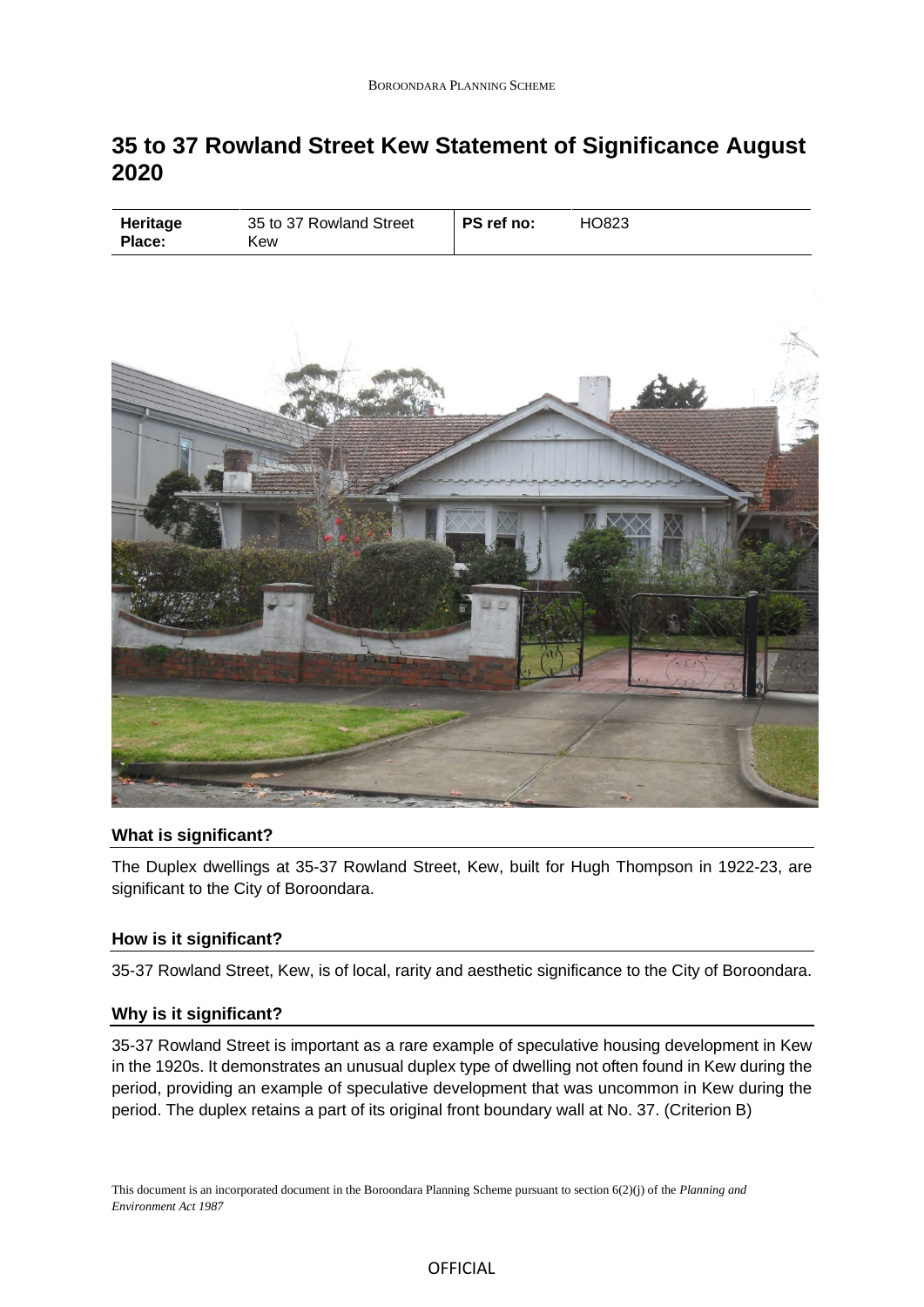# **35 to 37 Rowland Street Kew Statement of Significance August 2020**

| PS ref no:<br>35 to 37 Rowland Street<br>HO823<br>Heritage<br>Place:<br>Kew |
|-----------------------------------------------------------------------------|
|-----------------------------------------------------------------------------|



## **What is significant?**

The Duplex dwellings at 35-37 Rowland Street, Kew, built for Hugh Thompson in 1922-23, are significant to the City of Boroondara.

## **How is it significant?**

35-37 Rowland Street, Kew, is of local, rarity and aesthetic significance to the City of Boroondara.

## **Why is it significant?**

35-37 Rowland Street is important as a rare example of speculative housing development in Kew in the 1920s. It demonstrates an unusual duplex type of dwelling not often found in Kew during the period, providing an example of speculative development that was uncommon in Kew during the period. The duplex retains a part of its original front boundary wall at No. 37. (Criterion B)

This document is an incorporated document in the Boroondara Planning Scheme pursuant to section 6(2)(j) of the *Planning and Environment Act 1987*

#### OFFICIAL